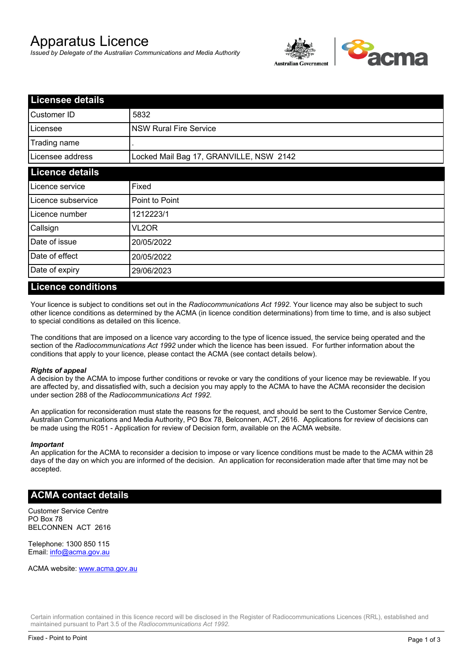# Apparatus Licence

*Issued by Delegate of the Australian Communications and Media Authority*



| <b>Licensee details</b> |                                         |  |
|-------------------------|-----------------------------------------|--|
| Customer ID             | 5832                                    |  |
| Licensee                | <b>NSW Rural Fire Service</b>           |  |
| Trading name            |                                         |  |
| Licensee address        | Locked Mail Bag 17, GRANVILLE, NSW 2142 |  |
| <b>Licence details</b>  |                                         |  |
| Licence service         | Fixed                                   |  |
| Licence subservice      | Point to Point                          |  |
| Licence number          | 1212223/1                               |  |
| Callsign                | VL2OR                                   |  |
| Date of issue           | 20/05/2022                              |  |
| Date of effect          | 20/05/2022                              |  |
| Date of expiry          | 29/06/2023                              |  |

### **Licence conditions**

Your licence is subject to conditions set out in the *Radiocommunications Act 1992*. Your licence may also be subject to such other licence conditions as determined by the ACMA (in licence condition determinations) from time to time, and is also subject to special conditions as detailed on this licence.

The conditions that are imposed on a licence vary according to the type of licence issued, the service being operated and the section of the *Radiocommunications Act 1992* under which the licence has been issued. For further information about the conditions that apply to your licence, please contact the ACMA (see contact details below).

### *Rights of appeal*

A decision by the ACMA to impose further conditions or revoke or vary the conditions of your licence may be reviewable. If you are affected by, and dissatisfied with, such a decision you may apply to the ACMA to have the ACMA reconsider the decision under section 288 of the *Radiocommunications Act 1992*.

An application for reconsideration must state the reasons for the request, and should be sent to the Customer Service Centre, Australian Communications and Media Authority, PO Box 78, Belconnen, ACT, 2616. Applications for review of decisions can be made using the R051 - Application for review of Decision form, available on the ACMA website.

#### *Important*

An application for the ACMA to reconsider a decision to impose or vary licence conditions must be made to the ACMA within 28 days of the day on which you are informed of the decision. An application for reconsideration made after that time may not be accepted.

### **ACMA contact details**

Customer Service Centre PO Box 78 BELCONNEN ACT 2616

Telephone: 1300 850 115 Email: info@acma.gov.au

ACMA website: www.acma.gov.au

Certain information contained in this licence record will be disclosed in the Register of Radiocommunications Licences (RRL), established and maintained pursuant to Part 3.5 of the *Radiocommunications Act 1992.*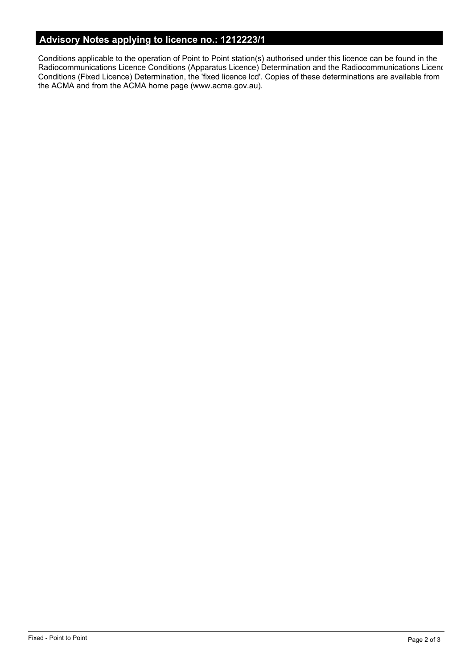# **Advisory Notes applying to licence no.: 1212223/1**

Conditions applicable to the operation of Point to Point station(s) authorised under this licence can be found in the Radiocommunications Licence Conditions (Apparatus Licence) Determination and the Radiocommunications Licence Conditions (Fixed Licence) Determination, the 'fixed licence lcd'. Copies of these determinations are available from the ACMA and from the ACMA home page (www.acma.gov.au).